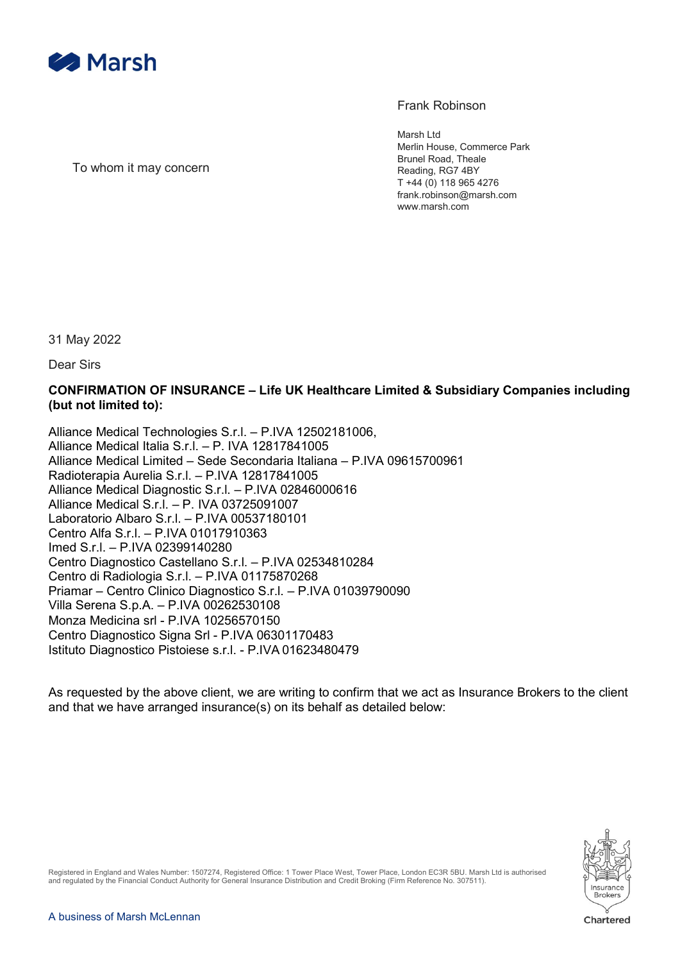

## Frank Robinson

Marsh Ltd Merlin House, Commerce Park Brunel Road, Theale Reading, RG7 4BY T +44 (0) 118 965 4276 frank.robinson@marsh.com www.marsh.com

To whom it may concern

31 May 2022

Dear Sirs

## CONFIRMATION OF INSURANCE – Life UK Healthcare Limited & Subsidiary Companies including (but not limited to):

Alliance Medical Technologies S.r.l. – P.IVA 12502181006, Alliance Medical Italia S.r.l. – P. IVA 12817841005 Alliance Medical Limited – Sede Secondaria Italiana – P.IVA 09615700961 Radioterapia Aurelia S.r.l. – P.IVA 12817841005 Alliance Medical Diagnostic S.r.l. – P.IVA 02846000616 Alliance Medical S.r.l. – P. IVA 03725091007 Laboratorio Albaro S.r.l. – P.IVA 00537180101 Centro Alfa S.r.l. – P.IVA 01017910363 Imed S.r.l. – P.IVA 02399140280 Centro Diagnostico Castellano S.r.l. – P.IVA 02534810284 Centro di Radiologia S.r.l. – P.IVA 01175870268 Priamar – Centro Clinico Diagnostico S.r.l. – P.IVA 01039790090 Villa Serena S.p.A. – P.IVA 00262530108 Monza Medicina srl - P.IVA 10256570150 Centro Diagnostico Signa Srl - P.IVA 06301170483 Istituto Diagnostico Pistoiese s.r.l. - P.IVA 01623480479

As requested by the above client, we are writing to confirm that we act as Insurance Brokers to the client and that we have arranged insurance(s) on its behalf as detailed below:



Registered in England and Wales Number: 1507274, Registered Office: 1 Tower Place West, Tower Place, London EC3R 5BU. Marsh Ltd is authorised and regulated by the Financial Conduct Authority for General Insurance Distribution and Credit Broking (Firm Reference No. 307511).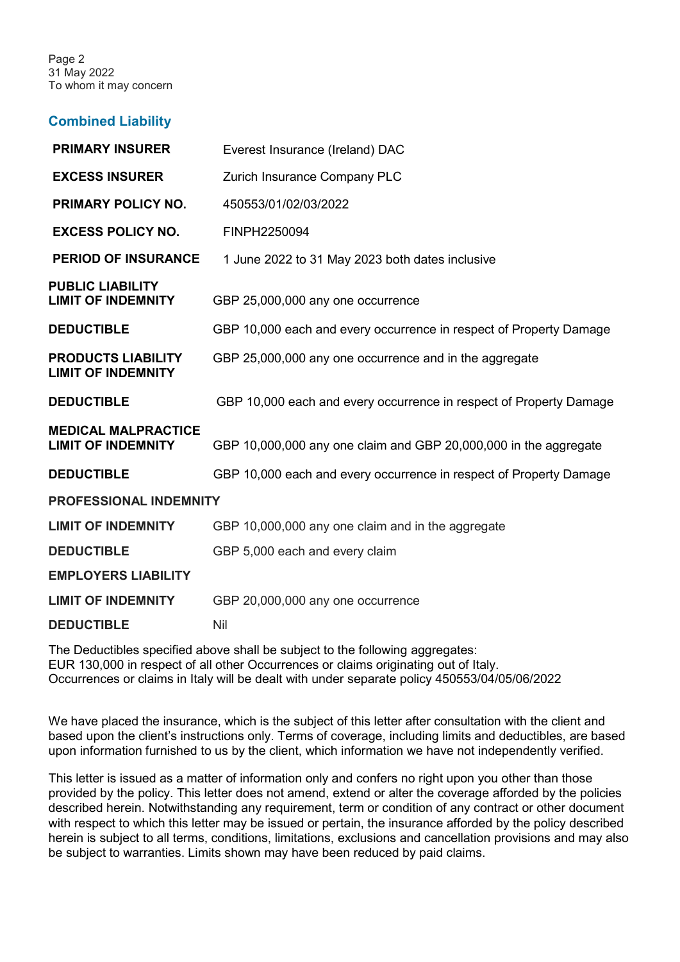Page 2 31 May 2022 To whom it may concern

## Combined Liability

| Everest Insurance (Ireland) DAC                                    |
|--------------------------------------------------------------------|
| Zurich Insurance Company PLC                                       |
| 450553/01/02/03/2022                                               |
| FINPH2250094                                                       |
| 1 June 2022 to 31 May 2023 both dates inclusive                    |
| GBP 25,000,000 any one occurrence                                  |
| GBP 10,000 each and every occurrence in respect of Property Damage |
| GBP 25,000,000 any one occurrence and in the aggregate             |
| GBP 10,000 each and every occurrence in respect of Property Damage |
| GBP 10,000,000 any one claim and GBP 20,000,000 in the aggregate   |
| GBP 10,000 each and every occurrence in respect of Property Damage |
| <b>PROFESSIONAL INDEMNITY</b>                                      |
| GBP 10,000,000 any one claim and in the aggregate                  |
| GBP 5,000 each and every claim                                     |
|                                                                    |
| GBP 20,000,000 any one occurrence                                  |
| Nil                                                                |
|                                                                    |

The Deductibles specified above shall be subject to the following aggregates: EUR 130,000 in respect of all other Occurrences or claims originating out of Italy. Occurrences or claims in Italy will be dealt with under separate policy 450553/04/05/06/2022

We have placed the insurance, which is the subject of this letter after consultation with the client and based upon the client's instructions only. Terms of coverage, including limits and deductibles, are based upon information furnished to us by the client, which information we have not independently verified.

This letter is issued as a matter of information only and confers no right upon you other than those provided by the policy. This letter does not amend, extend or alter the coverage afforded by the policies described herein. Notwithstanding any requirement, term or condition of any contract or other document with respect to which this letter may be issued or pertain, the insurance afforded by the policy described herein is subject to all terms, conditions, limitations, exclusions and cancellation provisions and may also be subject to warranties. Limits shown may have been reduced by paid claims.